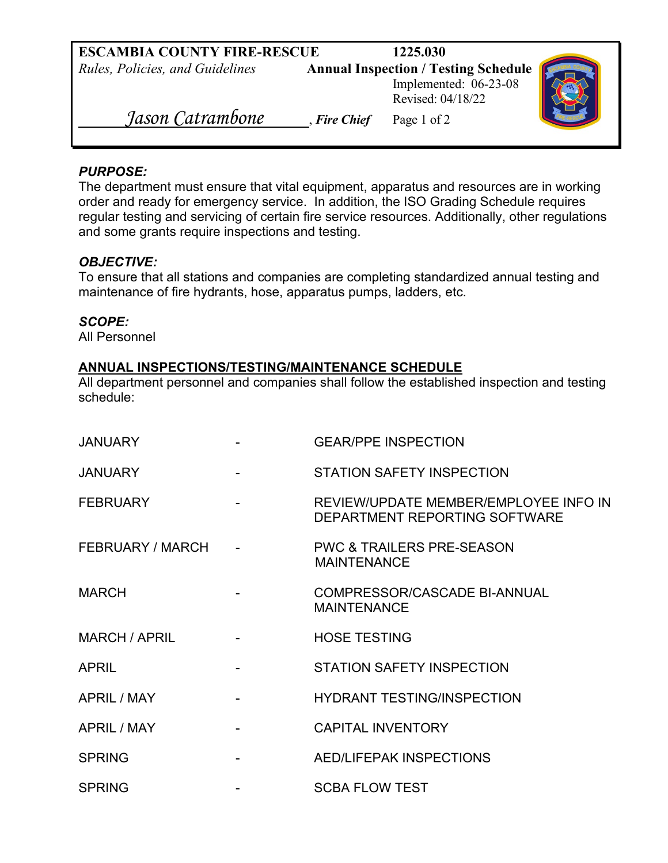| <b>ESCAMBIA COUNTY FIRE-RESCUE</b> |              | 1225.030                                    |  |
|------------------------------------|--------------|---------------------------------------------|--|
| Rules, Policies, and Guidelines    |              | <b>Annual Inspection / Testing Schedule</b> |  |
|                                    |              | Implemented: 06-23-08                       |  |
|                                    |              | Revised: 04/18/22                           |  |
| Jason Catrambone                   | , Fire Chief | Page 1 of 2                                 |  |

## *PURPOSE:*

The department must ensure that vital equipment, apparatus and resources are in working order and ready for emergency service. In addition, the ISO Grading Schedule requires regular testing and servicing of certain fire service resources. Additionally, other regulations and some grants require inspections and testing.

## *OBJECTIVE:*

To ensure that all stations and companies are completing standardized annual testing and maintenance of fire hydrants, hose, apparatus pumps, ladders, etc.

## *SCOPE:*

All Personnel

## **ANNUAL INSPECTIONS/TESTING/MAINTENANCE SCHEDULE**

All department personnel and companies shall follow the established inspection and testing schedule:

| <b>JANUARY</b>     | <b>GEAR/PPE INSPECTION</b>                                             |
|--------------------|------------------------------------------------------------------------|
| <b>JANUARY</b>     | <b>STATION SAFETY INSPECTION</b>                                       |
| <b>FEBRUARY</b>    | REVIEW/UPDATE MEMBER/EMPLOYEE INFO IN<br>DEPARTMENT REPORTING SOFTWARE |
| FEBRUARY / MARCH   | <b>PWC &amp; TRAILERS PRE-SEASON</b><br><b>MAINTENANCE</b>             |
| <b>MARCH</b>       | <b>COMPRESSOR/CASCADE BI-ANNUAL</b><br><b>MAINTENANCE</b>              |
| MARCH / APRIL      | <b>HOSE TESTING</b>                                                    |
| <b>APRIL</b>       | <b>STATION SAFETY INSPECTION</b>                                       |
| <b>APRIL / MAY</b> | <b>HYDRANT TESTING/INSPECTION</b>                                      |
| <b>APRIL / MAY</b> | <b>CAPITAL INVENTORY</b>                                               |
| <b>SPRING</b>      | AED/LIFEPAK INSPECTIONS                                                |
| <b>SPRING</b>      | <b>SCBA FLOW TEST</b>                                                  |